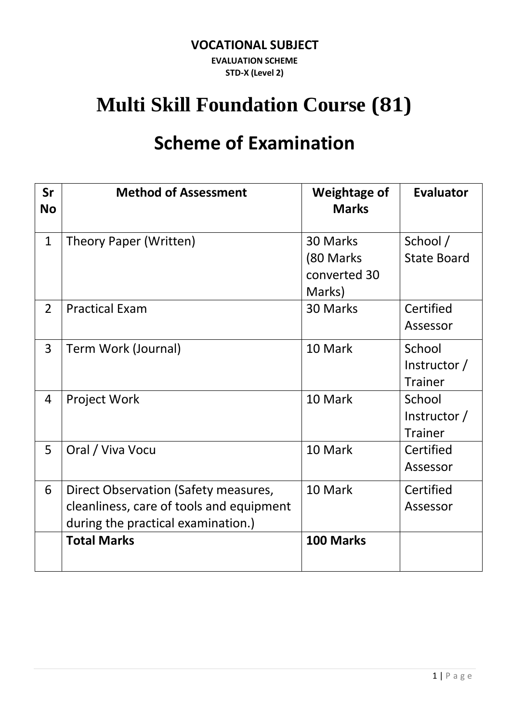#### **VOCATIONAL SUBJECT**

**EVALUATION SCHEME STD-X (Level 2)**

# **Multi Skill Foundation Course (81)**

# **Scheme of Examination**

| Sr<br><b>No</b> | <b>Method of Assessment</b>                                                                                            | <b>Weightage of</b><br><b>Marks</b>             | <b>Evaluator</b>                         |
|-----------------|------------------------------------------------------------------------------------------------------------------------|-------------------------------------------------|------------------------------------------|
| $\mathbf{1}$    | Theory Paper (Written)                                                                                                 | 30 Marks<br>(80 Marks<br>converted 30<br>Marks) | School /<br><b>State Board</b>           |
| $\overline{2}$  | <b>Practical Exam</b>                                                                                                  | 30 Marks                                        | Certified<br>Assessor                    |
| 3               | Term Work (Journal)                                                                                                    | 10 Mark                                         | School<br>Instructor /<br><b>Trainer</b> |
| 4               | Project Work                                                                                                           | 10 Mark                                         | School<br>Instructor /<br><b>Trainer</b> |
| 5               | Oral / Viva Vocu                                                                                                       | 10 Mark                                         | Certified<br>Assessor                    |
| 6               | Direct Observation (Safety measures,<br>cleanliness, care of tools and equipment<br>during the practical examination.) | 10 Mark                                         | Certified<br>Assessor                    |
|                 | <b>Total Marks</b>                                                                                                     | 100 Marks                                       |                                          |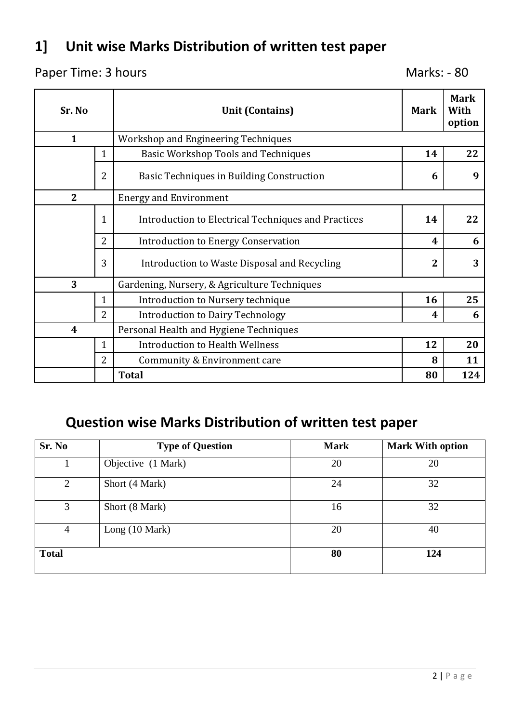# **1] Unit wise Marks Distribution of written test paper**

#### Paper Time: 3 hours Marks: - 80

| Sr. No           |                | <b>Unit (Contains)</b>                              | <b>Mark</b>    | <b>Mark</b><br>With<br>option |
|------------------|----------------|-----------------------------------------------------|----------------|-------------------------------|
| $\mathbf{1}$     |                | <b>Workshop and Engineering Techniques</b>          |                |                               |
|                  | $\mathbf{1}$   | <b>Basic Workshop Tools and Techniques</b>          | 14             | 22                            |
| $\overline{2}$   |                | Basic Techniques in Building Construction           | 6              | 9                             |
| $\overline{2}$   |                | <b>Energy and Environment</b>                       |                |                               |
|                  | $\mathbf 1$    | Introduction to Electrical Techniques and Practices | 14             | 22                            |
| $\overline{2}$   |                | Introduction to Energy Conservation                 | 4              | 6                             |
|                  | 3              | Introduction to Waste Disposal and Recycling        | $\overline{2}$ | 3                             |
| 3                |                | Gardening, Nursery, & Agriculture Techniques        |                |                               |
|                  | $\mathbf{1}$   | Introduction to Nursery technique                   | 16             | 25                            |
| $\overline{2}$   |                | <b>Introduction to Dairy Technology</b>             | 4              | 6                             |
| $\boldsymbol{4}$ |                | Personal Health and Hygiene Techniques              |                |                               |
| $\overline{1}$   |                | Introduction to Health Wellness                     | 12             | 20                            |
|                  | $\overline{2}$ | Community & Environment care                        | 8              | 11                            |
|                  |                | <b>Total</b>                                        | 80             | 124                           |

# **Question wise Marks Distribution of written test paper**

| Sr. No       | <b>Type of Question</b>  | <b>Mark</b> | <b>Mark With option</b> |
|--------------|--------------------------|-------------|-------------------------|
|              | Objective (1 Mark)       | 20          | 20                      |
| 2            | Short (4 Mark)           | 24          | 32                      |
| 3            | Short (8 Mark)           | 16          | 32                      |
| 4            | Long $(10 \text{ Mark})$ | 20          | 40                      |
| <b>Total</b> |                          | 80          | 124                     |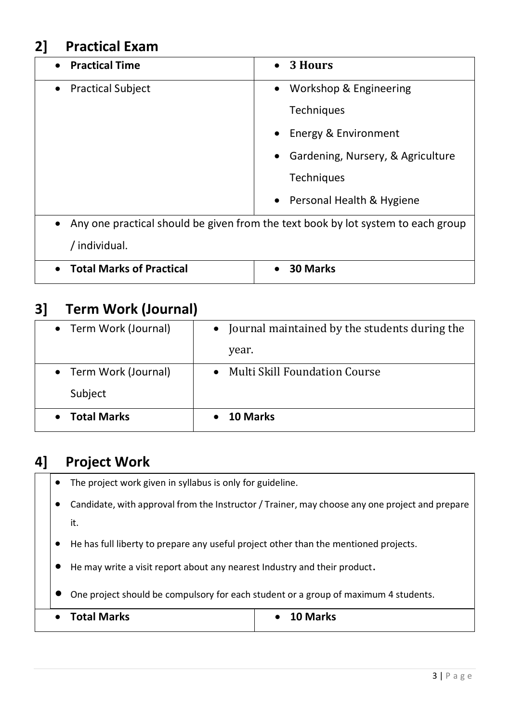### **2] Practical Exam**

| • Practical Time                      | 3 Hours<br>$\bullet$                                                             |
|---------------------------------------|----------------------------------------------------------------------------------|
| <b>Practical Subject</b><br>$\bullet$ | Workshop & Engineering                                                           |
|                                       | <b>Techniques</b>                                                                |
|                                       | Energy & Environment                                                             |
|                                       | Gardening, Nursery, & Agriculture                                                |
|                                       | <b>Techniques</b>                                                                |
|                                       | • Personal Health & Hygiene                                                      |
| $\bullet$                             | Any one practical should be given from the text book by lot system to each group |
| / individual.                         |                                                                                  |
| <b>Total Marks of Practical</b>       | <b>30 Marks</b>                                                                  |

#### **3] Term Work (Journal)**

| • Term Work (Journal) | • Journal maintained by the students during the |
|-----------------------|-------------------------------------------------|
|                       | year.                                           |
| • Term Work (Journal) | • Multi Skill Foundation Course                 |
| Subject               |                                                 |
| • Total Marks         | <b>10 Marks</b>                                 |

#### **4] Project Work**

- The project work given in syllabus is only for guideline.
- Candidate, with approval from the Instructor / Trainer, may choose any one project and prepare it.
- He has full liberty to prepare any useful project other than the mentioned projects.
- He may write a visit report about any nearest Industry and their product.
- One project should be compulsory for each student or a group of maximum 4 students.

| <b>Total Marks</b><br>10 Marks |  |
|--------------------------------|--|
|--------------------------------|--|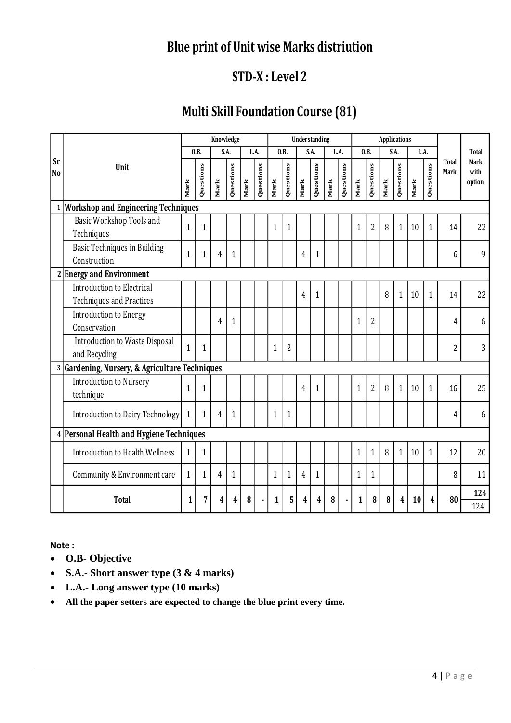### **Blue print of Unit wise Marks distriution**

## **STD-X : Level 2**

### **Multi Skill Foundation Course (81)**

|                             |                                                                         |              |              | Knowledge |              |      |           |              | Understanding  |                |              |           |           | <b>Applications</b> |                |      |              |      |              |               |                        |
|-----------------------------|-------------------------------------------------------------------------|--------------|--------------|-----------|--------------|------|-----------|--------------|----------------|----------------|--------------|-----------|-----------|---------------------|----------------|------|--------------|------|--------------|---------------|------------------------|
|                             |                                                                         |              | 0.B.         |           | S.A.         |      | L.A.      |              | 0.B.           |                | S.A.         |           | L.A.      |                     | 0.B.           |      | S.A.         |      | L.A.         |               | Total                  |
| <b>Sr</b><br>N <sub>0</sub> | Unit                                                                    |              | Questions    | Mark      | Questions    | Mark | Questions | Mark         | Questions      | Mark           | Questions    | Mark      | Questions | Mark                | Questions      | Mark | Questions    | Mark | Questions    | Total<br>Mark | Mark<br>with<br>option |
| $\mathbf{1}$                | <b>Workshop and Engineering Techniques</b>                              |              |              |           |              |      |           |              |                |                |              |           |           |                     |                |      |              |      |              |               |                        |
|                             | Basic Workshop Tools and<br>Techniques                                  | 1            | $\mathbf{1}$ |           |              |      |           | $\mathbf{1}$ | $\mathbf{1}$   |                |              |           |           | $\mathbf{1}$        | $\overline{2}$ | 8    | $\mathbf{1}$ | 10   | $\mathbf{1}$ | 14            | 22                     |
|                             | <b>Basic Techniques in Building</b><br>Construction                     | $\mathbf{1}$ | $\mathbf{1}$ | 4         | $\mathbf{1}$ |      |           |              |                | 4              | $\mathbf{1}$ |           |           |                     |                |      |              |      |              | 6             | 9                      |
|                             | 2 Energy and Environment                                                |              |              |           |              |      |           |              |                |                |              |           |           |                     |                |      |              |      |              |               |                        |
|                             | Introduction to Electrical<br><b>Techniques and Practices</b>           |              |              |           |              |      |           |              |                | $\overline{4}$ | $\mathbf{1}$ |           |           |                     |                | 8    | $\mathbf{1}$ | 10   | 1            | 14            | 22                     |
|                             | Introduction to Energy<br>Conservation                                  |              |              | 4         | $\mathbf{1}$ |      |           |              |                |                |              |           |           | 1                   | $\overline{2}$ |      |              |      |              | 4             | 6                      |
|                             | Introduction to Waste Disposal<br>and Recycling                         | $\mathbf{1}$ | $\mathbf{1}$ |           |              |      |           | 1            | $\overline{2}$ |                |              |           |           |                     |                |      |              |      |              | 2             | 3                      |
|                             | 3 Gardening, Nursery, & Agriculture Techniques                          |              |              |           |              |      |           |              |                |                |              |           |           |                     |                |      |              |      |              |               |                        |
|                             | Introduction to Nursery<br>technique                                    | 1            | $\mathbf{1}$ |           |              |      |           |              |                | $\overline{4}$ | $\mathbf{1}$ |           |           | $\mathbf{1}$        | $\overline{2}$ | 8    | $\mathbf{1}$ | 10   | $\mathbf{1}$ | 16            | 25                     |
|                             | Introduction to Dairy Technology                                        | $\mathbf{1}$ | $\mathbf{1}$ | 4         | $\mathbf{1}$ |      |           | $\mathbf{1}$ | $\mathbf{1}$   |                |              |           |           |                     |                |      |              |      |              | 4             | 6                      |
|                             | 4 Personal Health and Hygiene Techniques                                |              |              |           |              |      |           |              |                |                |              |           |           |                     |                |      |              |      |              |               |                        |
|                             | <b>Introduction to Health Wellness</b>                                  | 1            | $\mathbf{1}$ |           |              |      |           |              |                |                |              |           |           | $\mathbf{1}$        | 1              | 8    | 1            | 10   | $\mathbf{1}$ | 12            | 20                     |
|                             | Community & Environment care                                            | $\mathbf{1}$ | $\mathbf{1}$ | 4         | $\mathbf{1}$ |      |           | $\mathbf{1}$ | $\mathbf{1}$   | $\overline{4}$ | $\mathbf{1}$ |           |           | 1                   | 1              |      |              |      |              | 8             | 11                     |
|                             | <b>Total</b>                                                            | 1            | 7            | 4         | 4            | 8    |           | 1            | 5              | 4              | 4            | ${\bf 8}$ |           | $\mathbf{1}$        | 8              | 8    | 4            | 10   | 4            | 80            | 124                    |
|                             |                                                                         |              |              |           |              |      |           |              |                |                |              |           |           |                     |                |      |              |      |              |               | 124                    |
| Note:<br>$\bullet$          | O.B- Objective<br>S.A.- Short answer type $(3 \& 4 \text{ marks})$      |              |              |           |              |      |           |              |                |                |              |           |           |                     |                |      |              |      |              |               |                        |
| $\bullet$                   | L.A.- Long answer type (10 marks)                                       |              |              |           |              |      |           |              |                |                |              |           |           |                     |                |      |              |      |              |               |                        |
| $\bullet$                   | All the paper setters are expected to change the blue print every time. |              |              |           |              |      |           |              |                |                |              |           |           |                     |                |      |              |      |              |               |                        |

- **O.B- Objective**
- **S.A.- Short answer type (3 & 4 marks)**
- **L.A.- Long answer type (10 marks)**
-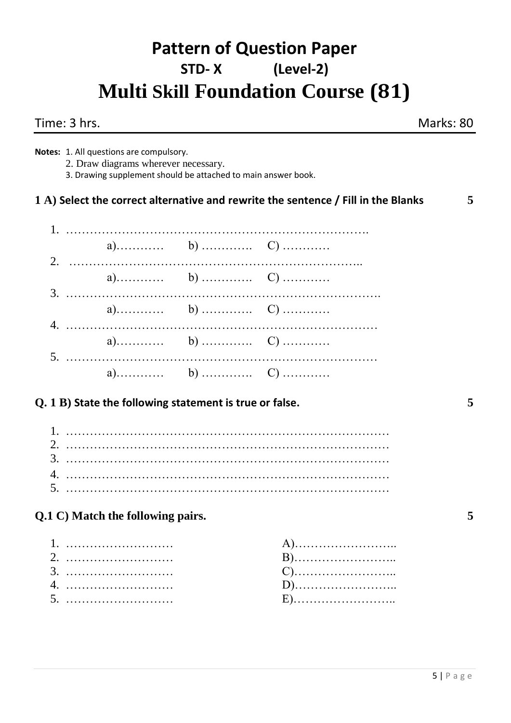# **Pattern of Question Paper STD- X (Level-2) Multi Skill Foundation Course (81)**

|    | Time: 3 hrs.                                                                                                                                     |                                                                                   | Marks: 80 |
|----|--------------------------------------------------------------------------------------------------------------------------------------------------|-----------------------------------------------------------------------------------|-----------|
|    | Notes: 1. All questions are compulsory.<br>2. Draw diagrams wherever necessary.<br>3. Drawing supplement should be attached to main answer book. |                                                                                   |           |
|    |                                                                                                                                                  | 1 A) Select the correct alternative and rewrite the sentence / Fill in the Blanks | 5         |
|    |                                                                                                                                                  |                                                                                   |           |
|    |                                                                                                                                                  |                                                                                   |           |
|    |                                                                                                                                                  |                                                                                   |           |
|    |                                                                                                                                                  |                                                                                   |           |
|    |                                                                                                                                                  |                                                                                   |           |
| 5. |                                                                                                                                                  |                                                                                   |           |
|    | $Q. 1 B$ ) State the following statement is true or false.                                                                                       |                                                                                   | 5         |
|    |                                                                                                                                                  |                                                                                   |           |
|    |                                                                                                                                                  |                                                                                   |           |
| 4. |                                                                                                                                                  |                                                                                   |           |
| 5. |                                                                                                                                                  |                                                                                   |           |
|    | Q.1 C) Match the following pairs.                                                                                                                |                                                                                   | 5         |
|    |                                                                                                                                                  | B)<br>D)                                                                          |           |
|    |                                                                                                                                                  |                                                                                   |           |